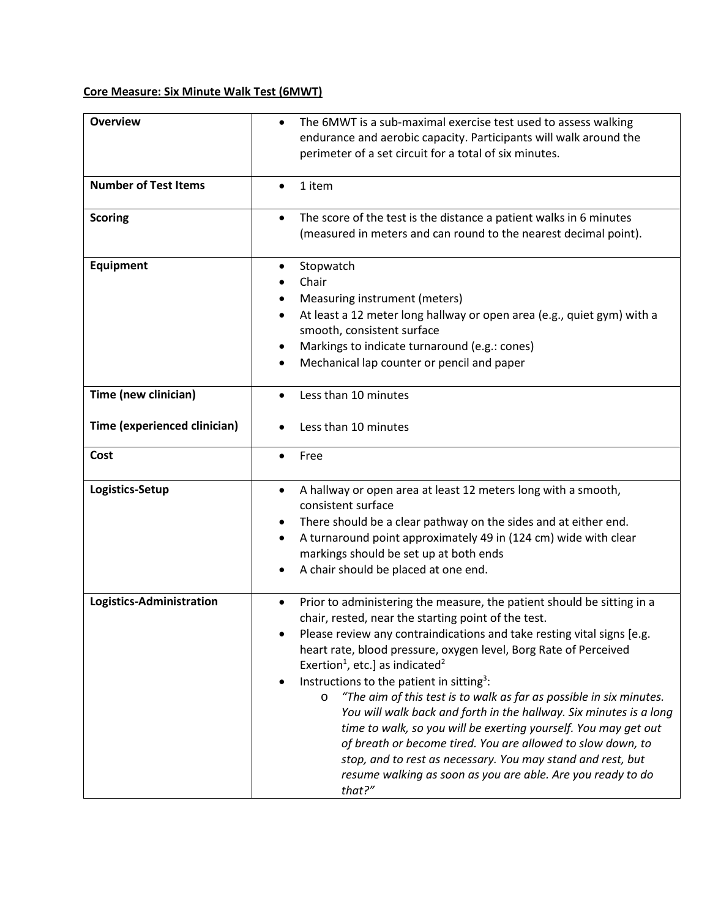## **Core Measure: Six Minute Walk Test (6MWT)**

| <b>Overview</b>                                      | The 6MWT is a sub-maximal exercise test used to assess walking<br>$\bullet$<br>endurance and aerobic capacity. Participants will walk around the<br>perimeter of a set circuit for a total of six minutes.                                                                                                                                                                                                                                                                                                                                                                                                                                                                                                                                                                                                                        |
|------------------------------------------------------|-----------------------------------------------------------------------------------------------------------------------------------------------------------------------------------------------------------------------------------------------------------------------------------------------------------------------------------------------------------------------------------------------------------------------------------------------------------------------------------------------------------------------------------------------------------------------------------------------------------------------------------------------------------------------------------------------------------------------------------------------------------------------------------------------------------------------------------|
| <b>Number of Test Items</b>                          | 1 item                                                                                                                                                                                                                                                                                                                                                                                                                                                                                                                                                                                                                                                                                                                                                                                                                            |
| <b>Scoring</b>                                       | The score of the test is the distance a patient walks in 6 minutes<br>$\bullet$<br>(measured in meters and can round to the nearest decimal point).                                                                                                                                                                                                                                                                                                                                                                                                                                                                                                                                                                                                                                                                               |
| Equipment                                            | Stopwatch<br>Chair<br>Measuring instrument (meters)<br>At least a 12 meter long hallway or open area (e.g., quiet gym) with a<br>smooth, consistent surface<br>Markings to indicate turnaround (e.g.: cones)<br>Mechanical lap counter or pencil and paper                                                                                                                                                                                                                                                                                                                                                                                                                                                                                                                                                                        |
| Time (new clinician)<br>Time (experienced clinician) | Less than 10 minutes<br>Less than 10 minutes                                                                                                                                                                                                                                                                                                                                                                                                                                                                                                                                                                                                                                                                                                                                                                                      |
| Cost                                                 | Free                                                                                                                                                                                                                                                                                                                                                                                                                                                                                                                                                                                                                                                                                                                                                                                                                              |
| Logistics-Setup                                      | A hallway or open area at least 12 meters long with a smooth,<br>$\bullet$<br>consistent surface<br>There should be a clear pathway on the sides and at either end.<br>A turnaround point approximately 49 in (124 cm) wide with clear<br>$\bullet$<br>markings should be set up at both ends<br>A chair should be placed at one end.                                                                                                                                                                                                                                                                                                                                                                                                                                                                                             |
| Logistics-Administration                             | Prior to administering the measure, the patient should be sitting in a<br>chair, rested, near the starting point of the test.<br>Please review any contraindications and take resting vital signs [e.g.<br>heart rate, blood pressure, oxygen level, Borg Rate of Perceived<br>Exertion <sup>1</sup> , etc.] as indicated <sup>2</sup><br>Instructions to the patient in sitting <sup>3</sup> :<br>"The aim of this test is to walk as far as possible in six minutes.<br>$\circ$<br>You will walk back and forth in the hallway. Six minutes is a long<br>time to walk, so you will be exerting yourself. You may get out<br>of breath or become tired. You are allowed to slow down, to<br>stop, and to rest as necessary. You may stand and rest, but<br>resume walking as soon as you are able. Are you ready to do<br>that?" |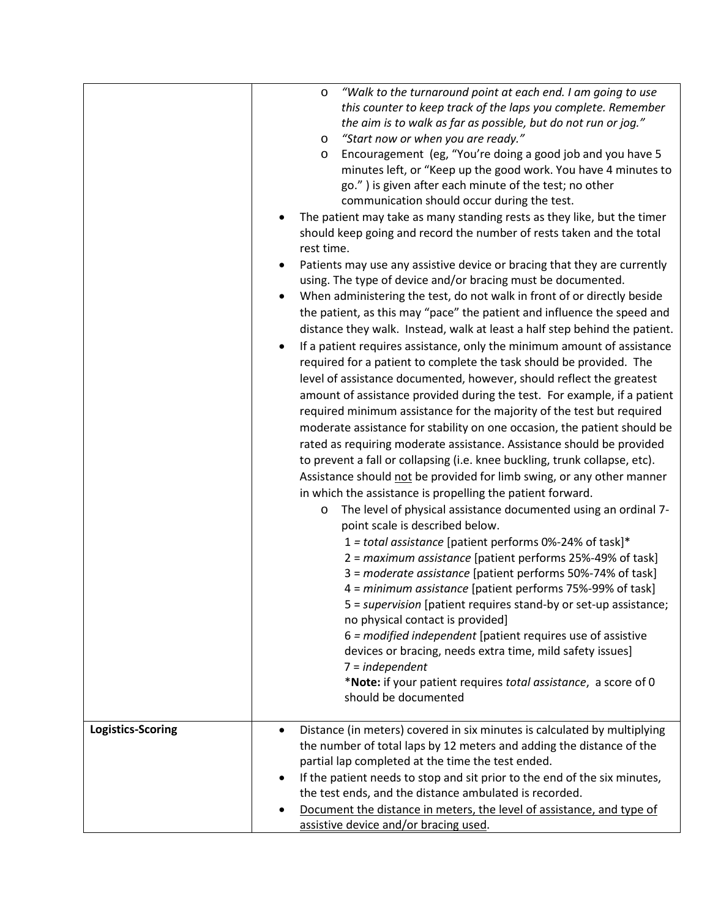|                   | "Walk to the turnaround point at each end. I am going to use<br>$\circ$<br>this counter to keep track of the laps you complete. Remember<br>the aim is to walk as far as possible, but do not run or jog."<br>"Start now or when you are ready."<br>$\circ$<br>Encouragement (eg, "You're doing a good job and you have 5<br>$\circ$<br>minutes left, or "Keep up the good work. You have 4 minutes to<br>go.") is given after each minute of the test; no other<br>communication should occur during the test.<br>The patient may take as many standing rests as they like, but the timer<br>should keep going and record the number of rests taken and the total<br>rest time.<br>Patients may use any assistive device or bracing that they are currently<br>using. The type of device and/or bracing must be documented.<br>When administering the test, do not walk in front of or directly beside<br>the patient, as this may "pace" the patient and influence the speed and<br>distance they walk. Instead, walk at least a half step behind the patient.<br>If a patient requires assistance, only the minimum amount of assistance<br>required for a patient to complete the task should be provided. The<br>level of assistance documented, however, should reflect the greatest<br>amount of assistance provided during the test. For example, if a patient<br>required minimum assistance for the majority of the test but required<br>moderate assistance for stability on one occasion, the patient should be<br>rated as requiring moderate assistance. Assistance should be provided<br>to prevent a fall or collapsing (i.e. knee buckling, trunk collapse, etc).<br>Assistance should not be provided for limb swing, or any other manner<br>in which the assistance is propelling the patient forward.<br>The level of physical assistance documented using an ordinal 7-<br>$\circ$<br>point scale is described below.<br>1 = total assistance [patient performs 0%-24% of task]*<br>2 = maximum assistance [patient performs 25%-49% of task]<br>3 = moderate assistance [patient performs 50%-74% of task]<br>4 = minimum assistance [patient performs 75%-99% of task]<br>5 = supervision [patient requires stand-by or set-up assistance;<br>no physical contact is provided]<br>6 = modified independent [patient requires use of assistive<br>devices or bracing, needs extra time, mild safety issues]<br>$7 = independent$<br>*Note: if your patient requires total assistance, a score of 0<br>should be documented |
|-------------------|--------------------------------------------------------------------------------------------------------------------------------------------------------------------------------------------------------------------------------------------------------------------------------------------------------------------------------------------------------------------------------------------------------------------------------------------------------------------------------------------------------------------------------------------------------------------------------------------------------------------------------------------------------------------------------------------------------------------------------------------------------------------------------------------------------------------------------------------------------------------------------------------------------------------------------------------------------------------------------------------------------------------------------------------------------------------------------------------------------------------------------------------------------------------------------------------------------------------------------------------------------------------------------------------------------------------------------------------------------------------------------------------------------------------------------------------------------------------------------------------------------------------------------------------------------------------------------------------------------------------------------------------------------------------------------------------------------------------------------------------------------------------------------------------------------------------------------------------------------------------------------------------------------------------------------------------------------------------------------------------------------------------------------------------------------------------------------------------------------------------------------------------------------------------------------------------------------------------------------------------------------------------------------------------------------------------------------------------------------------------------------------------------------------------------------------------------------------------------------------------------------------------------------------------------|
| Logistics-Scoring | Distance (in meters) covered in six minutes is calculated by multiplying<br>$\bullet$<br>the number of total laps by 12 meters and adding the distance of the<br>partial lap completed at the time the test ended.<br>If the patient needs to stop and sit prior to the end of the six minutes,<br>the test ends, and the distance ambulated is recorded.<br>Document the distance in meters, the level of assistance, and type of<br>assistive device and/or bracing used.                                                                                                                                                                                                                                                                                                                                                                                                                                                                                                                                                                                                                                                                                                                                                                                                                                                                                                                                                                                                                                                                                                                                                                                                                                                                                                                                                                                                                                                                                                                                                                                                                                                                                                                                                                                                                                                                                                                                                                                                                                                                      |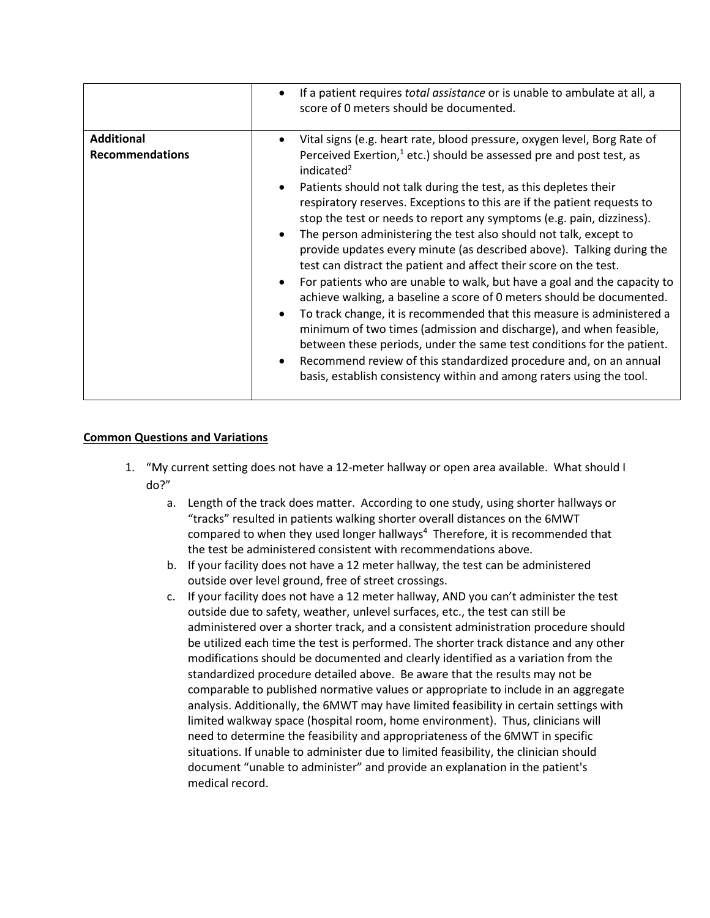|                                             | If a patient requires <i>total assistance</i> or is unable to ambulate at all, a<br>score of 0 meters should be documented.                                                                                                                                                                                                                                                                                                                                                                                                                                                                                                                                                                                                                                                                                                                                                                                                                                                                                                                                                                                                                         |
|---------------------------------------------|-----------------------------------------------------------------------------------------------------------------------------------------------------------------------------------------------------------------------------------------------------------------------------------------------------------------------------------------------------------------------------------------------------------------------------------------------------------------------------------------------------------------------------------------------------------------------------------------------------------------------------------------------------------------------------------------------------------------------------------------------------------------------------------------------------------------------------------------------------------------------------------------------------------------------------------------------------------------------------------------------------------------------------------------------------------------------------------------------------------------------------------------------------|
| <b>Additional</b><br><b>Recommendations</b> | Vital signs (e.g. heart rate, blood pressure, oxygen level, Borg Rate of<br>Perceived Exertion, $1$ etc.) should be assessed pre and post test, as<br>indicated <sup>2</sup><br>Patients should not talk during the test, as this depletes their<br>respiratory reserves. Exceptions to this are if the patient requests to<br>stop the test or needs to report any symptoms (e.g. pain, dizziness).<br>The person administering the test also should not talk, except to<br>provide updates every minute (as described above). Talking during the<br>test can distract the patient and affect their score on the test.<br>For patients who are unable to walk, but have a goal and the capacity to<br>achieve walking, a baseline a score of 0 meters should be documented.<br>To track change, it is recommended that this measure is administered a<br>minimum of two times (admission and discharge), and when feasible,<br>between these periods, under the same test conditions for the patient.<br>Recommend review of this standardized procedure and, on an annual<br>basis, establish consistency within and among raters using the tool. |

## **Common Questions and Variations**

- 1. "My current setting does not have a 12-meter hallway or open area available. What should I do?"
	- a. Length of the track does matter. According to one study, using shorter hallways or "tracks" resulted in patients walking shorter overall distances on the 6MWT compared to when they used longer hallways<sup>4</sup> Therefore, it is recommended that the test be administered consistent with recommendations above.
	- b. If your facility does not have a 12 meter hallway, the test can be administered outside over level ground, free of street crossings.
	- c. If your facility does not have a 12 meter hallway, AND you can't administer the test outside due to safety, weather, unlevel surfaces, etc., the test can still be administered over a shorter track, and a consistent administration procedure should be utilized each time the test is performed. The shorter track distance and any other modifications should be documented and clearly identified as a variation from the standardized procedure detailed above. Be aware that the results may not be comparable to published normative values or appropriate to include in an aggregate analysis. Additionally, the 6MWT may have limited feasibility in certain settings with limited walkway space (hospital room, home environment). Thus, clinicians will need to determine the feasibility and appropriateness of the 6MWT in specific situations. If unable to administer due to limited feasibility, the clinician should document "unable to administer" and provide an explanation in the patient's medical record.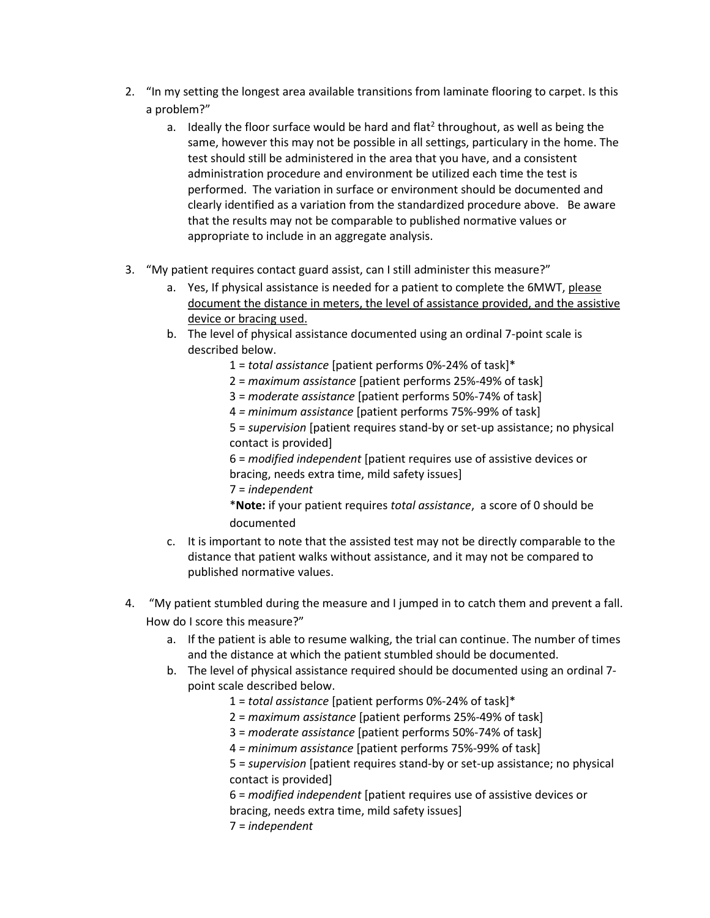- 2. "In my setting the longest area available transitions from laminate flooring to carpet. Is this a problem?"
	- a. Ideally the floor surface would be hard and flat<sup>2</sup> throughout, as well as being the same, however this may not be possible in all settings, particulary in the home. The test should still be administered in the area that you have, and a consistent administration procedure and environment be utilized each time the test is performed. The variation in surface or environment should be documented and clearly identified as a variation from the standardized procedure above. Be aware that the results may not be comparable to published normative values or appropriate to include in an aggregate analysis.
- 3. "My patient requires contact guard assist, can I still administer this measure?"
	- a. Yes, If physical assistance is needed for a patient to complete the 6MWT, please document the distance in meters, the level of assistance provided, and the assistive device or bracing used.
	- b. The level of physical assistance documented using an ordinal 7-point scale is described below.
		- 1 = *total assistance* [patient performs 0%-24% of task]\*
		- 2 = *maximum assistance* [patient performs 25%-49% of task]
		- 3 = *moderate assistance* [patient performs 50%-74% of task]
		- 4 *= minimum assistance* [patient performs 75%-99% of task]

5 = *supervision* [patient requires stand-by or set-up assistance; no physical contact is provided]

6 = *modified independent* [patient requires use of assistive devices or bracing, needs extra time, mild safety issues]

7 = *independent*

\***Note:** if your patient requires *total assistance*, a score of 0 should be documented

- c. It is important to note that the assisted test may not be directly comparable to the distance that patient walks without assistance, and it may not be compared to published normative values.
- 4. "My patient stumbled during the measure and I jumped in to catch them and prevent a fall. How do I score this measure?"
	- a. If the patient is able to resume walking, the trial can continue. The number of times and the distance at which the patient stumbled should be documented.
	- b. The level of physical assistance required should be documented using an ordinal 7 point scale described below.
		- 1 = *total assistance* [patient performs 0%-24% of task]\*
		- 2 = *maximum assistance* [patient performs 25%-49% of task]
		- 3 = *moderate assistance* [patient performs 50%-74% of task]
		- 4 *= minimum assistance* [patient performs 75%-99% of task]

5 = *supervision* [patient requires stand-by or set-up assistance; no physical contact is provided]

6 = *modified independent* [patient requires use of assistive devices or bracing, needs extra time, mild safety issues]

7 = *independent*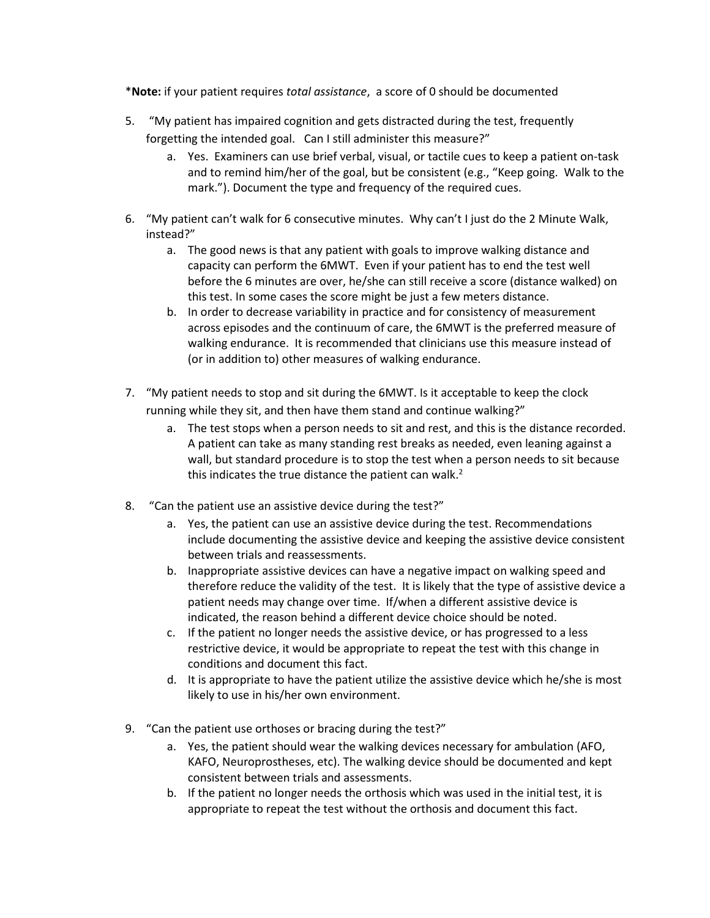\***Note:** if your patient requires *total assistance*, a score of 0 should be documented

- 5. "My patient has impaired cognition and gets distracted during the test, frequently forgetting the intended goal. Can I still administer this measure?"
	- a. Yes. Examiners can use brief verbal, visual, or tactile cues to keep a patient on-task and to remind him/her of the goal, but be consistent (e.g., "Keep going. Walk to the mark."). Document the type and frequency of the required cues.
- 6. "My patient can't walk for 6 consecutive minutes. Why can't I just do the 2 Minute Walk, instead?"
	- a. The good news is that any patient with goals to improve walking distance and capacity can perform the 6MWT. Even if your patient has to end the test well before the 6 minutes are over, he/she can still receive a score (distance walked) on this test. In some cases the score might be just a few meters distance.
	- b. In order to decrease variability in practice and for consistency of measurement across episodes and the continuum of care, the 6MWT is the preferred measure of walking endurance. It is recommended that clinicians use this measure instead of (or in addition to) other measures of walking endurance.
- 7. "My patient needs to stop and sit during the 6MWT. Is it acceptable to keep the clock running while they sit, and then have them stand and continue walking?"
	- a. The test stops when a person needs to sit and rest, and this is the distance recorded. A patient can take as many standing rest breaks as needed, even leaning against a wall, but standard procedure is to stop the test when a person needs to sit because this indicates the true distance the patient can walk. $<sup>2</sup>$ </sup>
- 8. "Can the patient use an assistive device during the test?"
	- a. Yes, the patient can use an assistive device during the test. Recommendations include documenting the assistive device and keeping the assistive device consistent between trials and reassessments.
	- b. Inappropriate assistive devices can have a negative impact on walking speed and therefore reduce the validity of the test. It is likely that the type of assistive device a patient needs may change over time. If/when a different assistive device is indicated, the reason behind a different device choice should be noted.
	- c. If the patient no longer needs the assistive device, or has progressed to a less restrictive device, it would be appropriate to repeat the test with this change in conditions and document this fact.
	- d. It is appropriate to have the patient utilize the assistive device which he/she is most likely to use in his/her own environment.
- 9. "Can the patient use orthoses or bracing during the test?"
	- a. Yes, the patient should wear the walking devices necessary for ambulation (AFO, KAFO, Neuroprostheses, etc). The walking device should be documented and kept consistent between trials and assessments.
	- b. If the patient no longer needs the orthosis which was used in the initial test, it is appropriate to repeat the test without the orthosis and document this fact.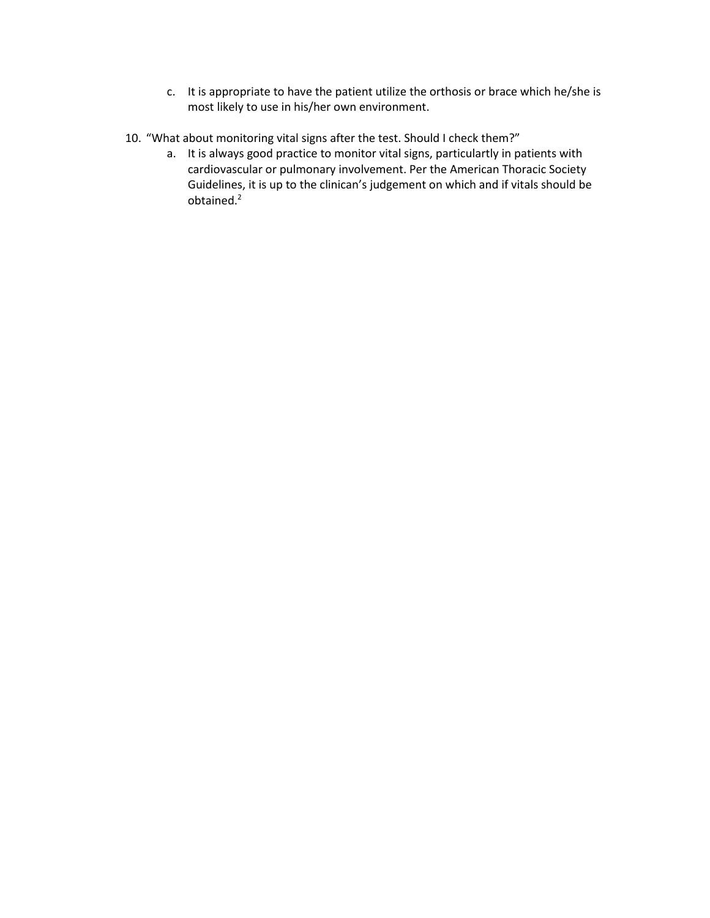- c. It is appropriate to have the patient utilize the orthosis or brace which he/she is most likely to use in his/her own environment.
- 10. "What about monitoring vital signs after the test. Should I check them?"
	- a. It is always good practice to monitor vital signs, particulartly in patients with cardiovascular or pulmonary involvement. Per the American Thoracic Society Guidelines, it is up to the clinican's judgement on which and if vitals should be obtained.2